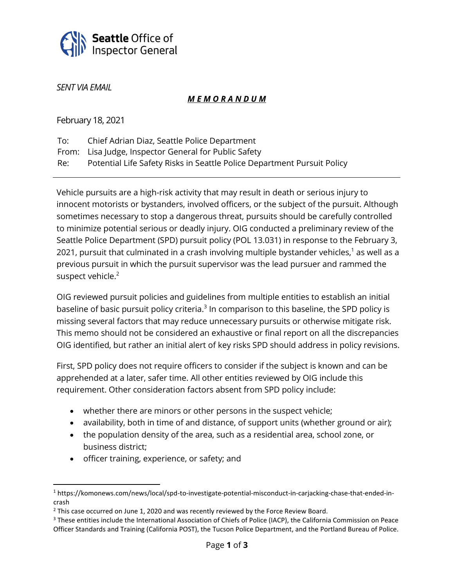

*SENT VIA EMAIL*

## *M E M O R A N D U M*

February 18, 2021

| To: | Chief Adrian Diaz, Seattle Police Department                            |
|-----|-------------------------------------------------------------------------|
|     | From: Lisa Judge, Inspector General for Public Safety                   |
| Re: | Potential Life Safety Risks in Seattle Police Department Pursuit Policy |

Vehicle pursuits are a high-risk activity that may result in death or serious injury to innocent motorists or bystanders, involved officers, or the subject of the pursuit. Although sometimes necessary to stop a dangerous threat, pursuits should be carefully controlled to minimize potential serious or deadly injury. OIG conducted a preliminary review of the Seattle Police Department (SPD) pursuit policy (POL 13.031) in response to the February 3, 2021, pursuit that culminated in a crash involving multiple bystander vehicles, $^1$  as well as a previous pursuit in which the pursuit supervisor was the lead pursuer and rammed the suspect vehicle.<sup>2</sup>

OIG reviewed pursuit policies and guidelines from multiple entities to establish an initial baseline of basic pursuit policy criteria. $3$  In comparison to this baseline, the SPD policy is missing several factors that may reduce unnecessary pursuits or otherwise mitigate risk. This memo should not be considered an exhaustive or final report on all the discrepancies OIG identified, but rather an initial alert of key risks SPD should address in policy revisions.

First, SPD policy does not require officers to consider if the subject is known and can be apprehended at a later, safer time. All other entities reviewed by OIG include this requirement. Other consideration factors absent from SPD policy include:

- whether there are minors or other persons in the suspect vehicle;
- availability, both in time of and distance, of support units (whether ground or air);
- the population density of the area, such as a residential area, school zone, or business district;
- officer training, experience, or safety; and

<sup>1</sup> https://komonews.com/news/local/spd-to-investigate-potential-misconduct-in-carjacking-chase-that-ended-incrash

<sup>&</sup>lt;sup>2</sup> This case occurred on June 1, 2020 and was recently reviewed by the Force Review Board.

<sup>&</sup>lt;sup>3</sup> These entities include the International Association of Chiefs of Police (IACP), the California Commission on Peace Officer Standards and Training (California POST), the Tucson Police Department, and the Portland Bureau of Police.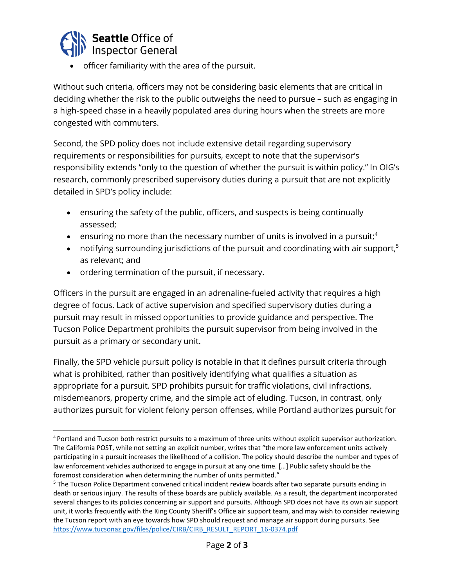

• officer familiarity with the area of the pursuit.

Without such criteria, officers may not be considering basic elements that are critical in deciding whether the risk to the public outweighs the need to pursue – such as engaging in a high-speed chase in a heavily populated area during hours when the streets are more congested with commuters.

Second, the SPD policy does not include extensive detail regarding supervisory requirements or responsibilities for pursuits, except to note that the supervisor's responsibility extends "only to the question of whether the pursuit is within policy." In OIG's research, commonly prescribed supervisory duties during a pursuit that are not explicitly detailed in SPD's policy include:

- ensuring the safety of the public, officers, and suspects is being continually assessed;
- ensuring no more than the necessary number of units is involved in a pursuit;<sup>4</sup>
- notifying surrounding jurisdictions of the pursuit and coordinating with air support,<sup>5</sup> as relevant; and
- ordering termination of the pursuit, if necessary.

Officers in the pursuit are engaged in an adrenaline-fueled activity that requires a high degree of focus. Lack of active supervision and specified supervisory duties during a pursuit may result in missed opportunities to provide guidance and perspective. The Tucson Police Department prohibits the pursuit supervisor from being involved in the pursuit as a primary or secondary unit.

Finally, the SPD vehicle pursuit policy is notable in that it defines pursuit criteria through what is prohibited, rather than positively identifying what qualifies a situation as appropriate for a pursuit. SPD prohibits pursuit for traffic violations, civil infractions, misdemeanors, property crime, and the simple act of eluding. Tucson, in contrast, only authorizes pursuit for violent felony person offenses, while Portland authorizes pursuit for

<sup>4</sup> Portland and Tucson both restrict pursuits to a maximum of three units without explicit supervisor authorization. The California POST, while not setting an explicit number, writes that "the more law enforcement units actively participating in a pursuit increases the likelihood of a collision. The policy should describe the number and types of law enforcement vehicles authorized to engage in pursuit at any one time. […] Public safety should be the foremost consideration when determining the number of units permitted."

<sup>&</sup>lt;sup>5</sup> The Tucson Police Department convened critical incident review boards after two separate pursuits ending in death or serious injury. The results of these boards are publicly available. As a result, the department incorporated several changes to its policies concerning air support and pursuits. Although SPD does not have its own air support unit, it works frequently with the King County Sheriff's Office air support team, and may wish to consider reviewing the Tucson report with an eye towards how SPD should request and manage air support during pursuits. See [https://www.tucsonaz.gov/files/police/CIRB/CIRB\\_RESULT\\_REPORT\\_16-0374.pdf](https://www.tucsonaz.gov/files/police/CIRB/CIRB_RESULT_REPORT_16-0374.pdf)